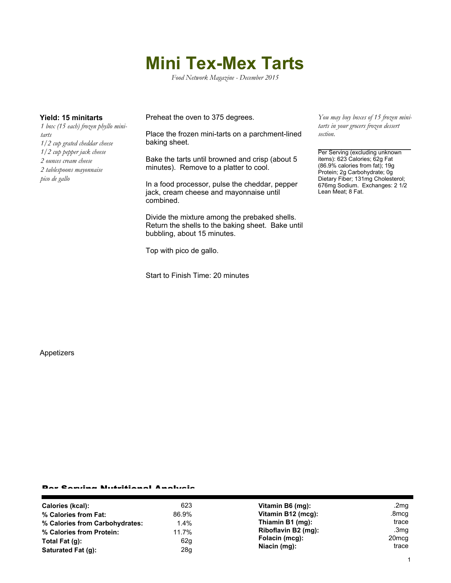## **Mini Tex-Mex Tarts**

*Food Network Magazine - December 2015*

*1 box (15 each) frozen phyllo minitarts 1/2 cup grated cheddar cheese 1/2 cup pepper jack cheese 2 ounces cream cheese 2 tablespoons mayonnaise pico de gallo*

**Yield: 15 minitarts** Preheat the oven to 375 degrees.

Place the frozen mini-tarts on a parchment-lined baking sheet.

Bake the tarts until browned and crisp (about 5 minutes). Remove to a platter to cool.

In a food processor, pulse the cheddar, pepper jack, cream cheese and mayonnaise until combined.

Divide the mixture among the prebaked shells. Return the shells to the baking sheet. Bake until bubbling, about 15 minutes.

Top with pico de gallo.

Start to Finish Time: 20 minutes

*You may buy boxes of 15 frozen minitarts in your grocers frozen dessert section.*

Per Serving (excluding unknown items): 623 Calories; 62g Fat (86.9% calories from fat); 19g Protein; 2g Carbohydrate; 0g Dietary Fiber; 131mg Cholesterol; 676mg Sodium. Exchanges: 2 1/2 Lean Meat; 8 Fat.

Appetizers

## Per Serving Nutritional Analysis

| Calories (kcal):               | 623     | Vitamin B6 (mg):    | .2mg              |
|--------------------------------|---------|---------------------|-------------------|
| % Calories from Fat:           | 86.9%   | Vitamin B12 (mcg):  | .8mcg             |
| % Calories from Carbohydrates: | $1.4\%$ | Thiamin B1 (mg):    | trace             |
| % Calories from Protein:       | 11.7%   | Riboflavin B2 (mg): | .3mg              |
| Total Fat $(q)$ :              | 62g     | Folacin (mcg):      | 20 <sub>mcq</sub> |
| Saturated Fat (g):             | 28g     | Niacin (mg):        | trace             |